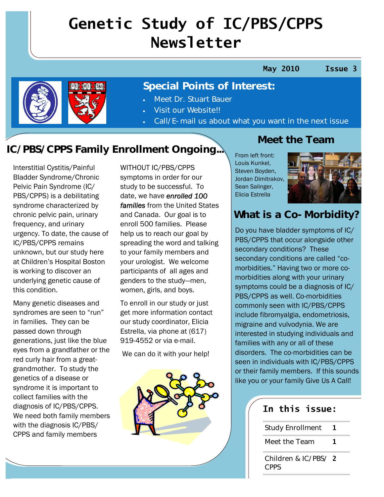# **Genetic Study of IC/PBS/CPPS Newsletter**

#### **May 2010 Issue 3**



**Special Points of Interest:**  Meet Dr. Stuart Bauer

- Visit our Website!!
- Call/E-mail us about what you want in the next issue

### **IC/PBS/CPPS Family Enrollment Ongoing...**

Interstitial Cystitis/Painful Bladder Syndrome/Chronic Pelvic Pain Syndrome (IC/ PBS/CPPS) is a debilitating syndrome characterized by chronic pelvic pain, urinary frequency, and urinary urgency. To date, the cause of IC/PBS/CPPS remains unknown, but our study here at Children's Hospital Boston is working to discover an underlying genetic cause of this condition.

Many genetic diseases and syndromes are seen to "run" in families. They can be passed down through generations, just like the blue eyes from a grandfather or the red curly hair from a greatgrandmother. To study the genetics of a disease or syndrome it is important to collect families with the diagnosis of IC/PBS/CPPS. We need both family members with the diagnosis IC/PBS/ CPPS and family members

WITHOUT IC/PBS/CPPS symptoms in order for our study to be successful. To date, we have *enrolled 100 families* from the United States and Canada. Our goal is to enroll 500 families. Please help us to reach our goal by spreading the word and talking to your family members and your urologist. We welcome participants of all ages and genders to the study—men, women, girls, and boys.

To enroll in our study or just get more information contact our study coordinator, Elicia Estrella, via phone at (617) 919-4552 or via e-mail.

We can do it with your help!



**Meet the Team** 

From left front: Louis Kunkel, Steven Boyden, Jordan Dimitrakov, Sean Salinger, Elicia Estrella



#### **What is a Co-Morbidity?**

Do you have bladder symptoms of IC/ PBS/CPPS that occur alongside other secondary conditions? These secondary conditions are called "comorbidities." Having two or more comorbidities along with your urinary symptoms could be a diagnosis of IC/ PBS/CPPS as well. Co-morbidities commonly seen with IC/PBS/CPPS include fibromyalgia, endometriosis, migraine and vulvodynia. We are interested in studying individuals and families with any or all of these disorders. The co-morbidities can be seen in individuals with IC/PBS/CPPS or their family members. If this sounds like you or your family Give Us A Call!

#### **In this issue:**

| <b>Study Enrollment</b>             | 1. |
|-------------------------------------|----|
| Meet the Team                       | 1. |
| Children & IC/PBS/ 2<br><b>CPPS</b> |    |